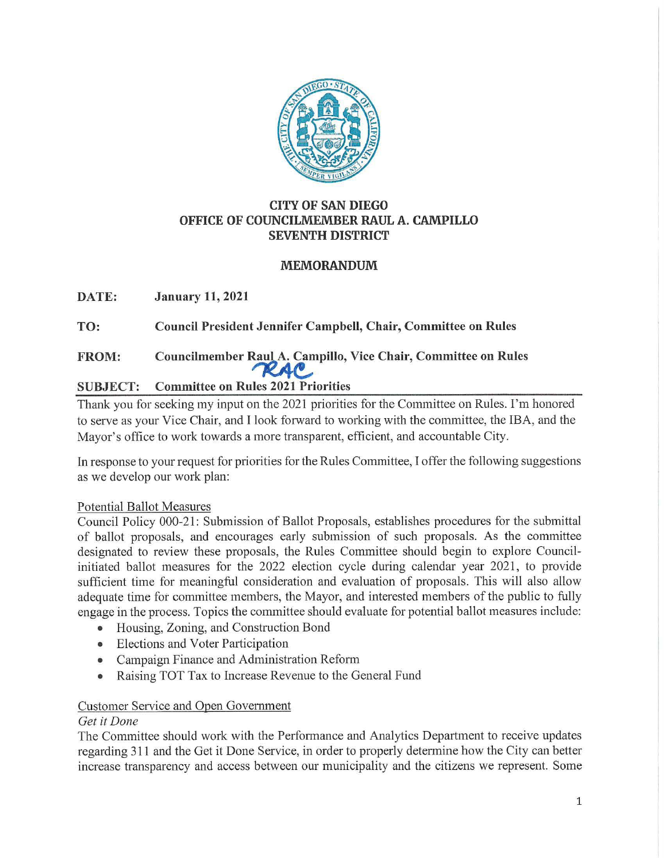

# **CITY OF SAN DIEGO OFFICE OF COUNCILMEMBER RAUL A. CAMPILLO SEVENTH DISTRICT**

# **MEMORANDUM**

**DATE: January 11, 2021** 

**TO: Council President Jennifer Campbell, Chair, Committee on Rules** 

# FROM: Councilmember Raul A. Campillo, Vice Chair, Committee on Rules

# **SUBJECT: Committee on Rules 2021 Priorities**

Thank you for seeking my input on the 2021 priorities for the Committee on Rules. I'm honored to serve as your Vice Chair, and I look forward to working with the committee, the IBA, and the Mayor's office to work towards a more transparent, efficient, and accountable City.

In response to your request for priorities for the Rules Committee, I offer the following suggestions as we develop our work plan:

# Potential Ballot Measures

Council Policy 000-21: Submission of Ballot Proposals, establishes procedures for the submittal of ballot proposals, and encourages early submission of such proposals. As the committee designated to review these proposals, the Rules Committee should begin to explore Councilinitiated ballot measures for the 2022 election cycle during calendar year 2021, to provide sufficient time for meaningful consideration and evaluation of proposals. This will also allow adequate time for committee members, the Mayor, and interested members of the public to fully engage in the process. Topics the committee should evaluate for potential ballot measures include:

- Housing, Zoning, and Construction Bond
- Elections and Voter Participation
- Campaign Finance and Administration Reform
- Raising TOT Tax to Increase Revenue to the General Fund

# Customer Service and Open Government

# *Get it Done*

The Committee should work with the Performance and Analytics Department to receive updates regarding 311 and the Get it Done Service, in order to properly determine how the City can better increase transparency and access between our municipality and the citizens we represent. Some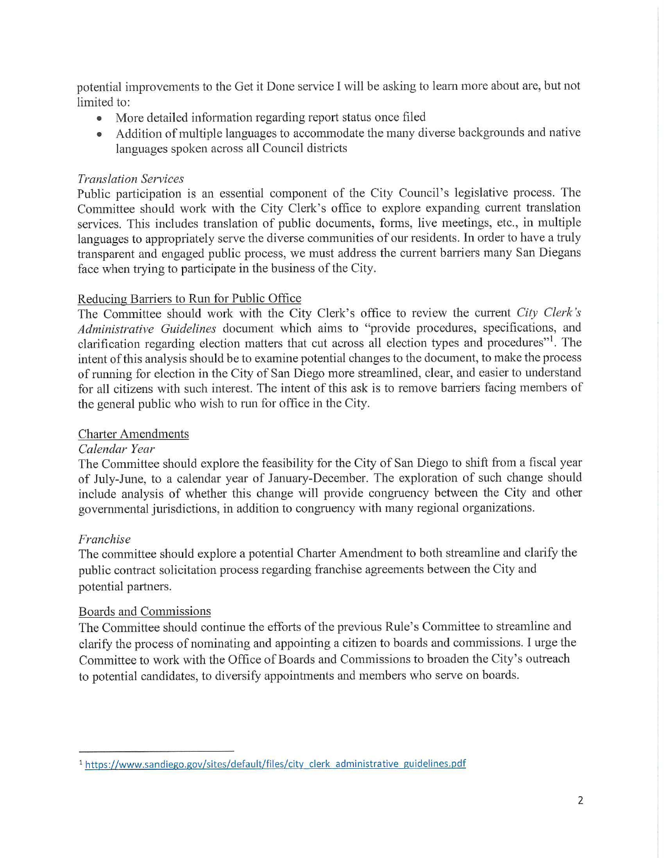potential improvements to the Get it Done service I will be asking to learn more about are, but not limited to:

- More detailed information regarding report status once filed
- Addition of multiple languages to accommodate the many diverse backgrounds and native languages spoken across all Council districts

# *Translation Services*

Public participation is an essential component of the City Council's legislative process. The Committee should work with the City Clerk's office to explore expanding current translation services. This includes translation of public documents, forms, live meetings, etc., in multiple languages to appropriately serve the diverse communities of our residents. In order to have a truly transparent and engaged public process, we must address the current barriers many San Diegans face when trying to participate in the business of the City.

# Reducing Barriers to Run for Public Office

The Committee should work with the City Clerk's office to review the current *City Clerk's Administrative Guidelines* document which aims to "provide procedures, specifications, and clarification regarding election matters that cut across all election types and procedures"'. The intent of this analysis should be to examine potential changes to the document, to make the process of running for election in the City of San Diego more streamlined, clear, and easier to understand for all citizens with such interest. The intent of this ask is to remove barriers facing members of the general public who wish to run for office in the City.

# Charter Amendments

# *Calendar Year*

The Committee should explore the feasibility for the City of San Diego to shift from a fiscal year of July-June, to a calendar year of January-December. The exploration of such change should include analysis of whether this change will provide congruency between the City and other governmental jurisdictions, in addition to congruency with many regional organizations.

# *Franchise*

The committee should explore a potential Charter Amendment to both streamline and clatify the public contract solicitation process regarding franchise agreements between the City and potential partners.

# Boards and Commissions

The Committee should continue the efforts of the previous Rule's Committee to streamline and clarify the process of nominating and appointing a citizen to boards and commissions. I urge the Committee to work with the Office of Boards and Commissions to broaden the City's outreach to potential candidates, to diversify appointments and members who serve on boards.

<sup>1</sup>https://www.sandiego.gov/sites/default/files/city clerk administrative guidelines.pdf